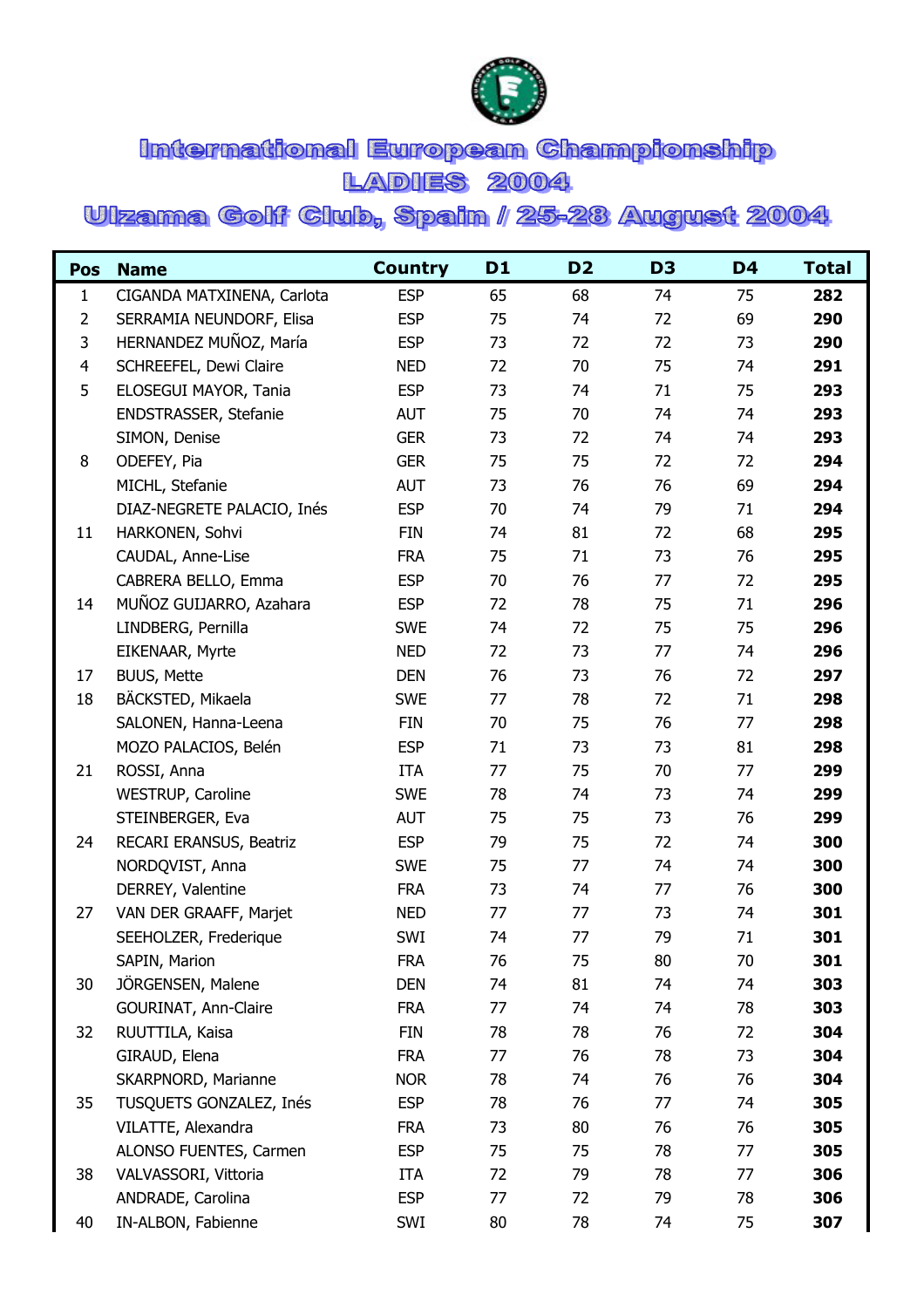

## International European Championship **LADIES 2004**

## Ulzama Golf Club, Spain / 25-28 August 2004

| <b>Pos</b>     | <b>Name</b>                | <b>Country</b> | D1 | D <sub>2</sub> | D <sub>3</sub> | D <sub>4</sub> | <b>Total</b> |
|----------------|----------------------------|----------------|----|----------------|----------------|----------------|--------------|
| $\mathbf{1}$   | CIGANDA MATXINENA, Carlota | <b>ESP</b>     | 65 | 68             | 74             | 75             | 282          |
| $\overline{2}$ | SERRAMIA NEUNDORF, Elisa   | <b>ESP</b>     | 75 | 74             | 72             | 69             | 290          |
| 3              | HERNANDEZ MUÑOZ, María     | <b>ESP</b>     | 73 | 72             | 72             | 73             | 290          |
| $\overline{4}$ | SCHREEFEL, Dewi Claire     | <b>NED</b>     | 72 | 70             | 75             | 74             | 291          |
| 5              | ELOSEGUI MAYOR, Tania      | <b>ESP</b>     | 73 | 74             | 71             | 75             | 293          |
|                | ENDSTRASSER, Stefanie      | <b>AUT</b>     | 75 | 70             | 74             | 74             | 293          |
|                | SIMON, Denise              | <b>GER</b>     | 73 | 72             | 74             | 74             | 293          |
| 8              | ODEFEY, Pia                | <b>GER</b>     | 75 | 75             | 72             | 72             | 294          |
|                | MICHL, Stefanie            | <b>AUT</b>     | 73 | 76             | 76             | 69             | 294          |
|                | DIAZ-NEGRETE PALACIO, Inés | <b>ESP</b>     | 70 | 74             | 79             | 71             | 294          |
| 11             | HARKONEN, Sohvi            | <b>FIN</b>     | 74 | 81             | 72             | 68             | 295          |
|                | CAUDAL, Anne-Lise          | <b>FRA</b>     | 75 | 71             | 73             | 76             | 295          |
|                | CABRERA BELLO, Emma        | <b>ESP</b>     | 70 | 76             | 77             | 72             | 295          |
| 14             | MUÑOZ GUIJARRO, Azahara    | <b>ESP</b>     | 72 | 78             | 75             | 71             | 296          |
|                | LINDBERG, Pernilla         | <b>SWE</b>     | 74 | 72             | 75             | 75             | 296          |
|                | EIKENAAR, Myrte            | <b>NED</b>     | 72 | 73             | 77             | 74             | 296          |
| 17             | <b>BUUS, Mette</b>         | <b>DEN</b>     | 76 | 73             | 76             | 72             | 297          |
| 18             | BÄCKSTED, Mikaela          | <b>SWE</b>     | 77 | 78             | 72             | 71             | 298          |
|                | SALONEN, Hanna-Leena       | <b>FIN</b>     | 70 | 75             | 76             | 77             | 298          |
|                | MOZO PALACIOS, Belén       | <b>ESP</b>     | 71 | 73             | 73             | 81             | 298          |
| 21             | ROSSI, Anna                | <b>ITA</b>     | 77 | 75             | 70             | 77             | 299          |
|                | WESTRUP, Caroline          | <b>SWE</b>     | 78 | 74             | 73             | 74             | 299          |
|                | STEINBERGER, Eva           | <b>AUT</b>     | 75 | 75             | 73             | 76             | 299          |
| 24             | RECARI ERANSUS, Beatriz    | <b>ESP</b>     | 79 | 75             | 72             | 74             | 300          |
|                | NORDQVIST, Anna            | <b>SWE</b>     | 75 | 77             | 74             | 74             | 300          |
|                | DERREY, Valentine          | <b>FRA</b>     | 73 | 74             | 77             | 76             | 300          |
| 27             | VAN DER GRAAFF, Marjet     | <b>NED</b>     | 77 | 77             | 73             | 74             | 301          |
|                | SEEHOLZER, Frederique      | SWI            | 74 | 77             | 79             | 71             | 301          |
|                | SAPIN, Marion              | <b>FRA</b>     | 76 | 75             | 80             | 70             | 301          |
| 30             | JÖRGENSEN, Malene          | <b>DEN</b>     | 74 | 81             | 74             | 74             | 303          |
|                | GOURINAT, Ann-Claire       | <b>FRA</b>     | 77 | 74             | 74             | 78             | 303          |
| 32             | RUUTTILA, Kaisa            | <b>FIN</b>     | 78 | 78             | 76             | 72             | 304          |
|                | GIRAUD, Elena              | <b>FRA</b>     | 77 | 76             | 78             | 73             | 304          |
|                | SKARPNORD, Marianne        | <b>NOR</b>     | 78 | 74             | 76             | 76             | 304          |
| 35             | TUSQUETS GONZALEZ, Inés    | <b>ESP</b>     | 78 | 76             | 77             | 74             | 305          |
|                | VILATTE, Alexandra         | <b>FRA</b>     | 73 | 80             | 76             | 76             | 305          |
|                | ALONSO FUENTES, Carmen     | <b>ESP</b>     | 75 | 75             | 78             | 77             | 305          |
| 38             | VALVASSORI, Vittoria       | <b>ITA</b>     | 72 | 79             | 78             | 77             | 306          |
|                | ANDRADE, Carolina          | <b>ESP</b>     | 77 | 72             | 79             | 78             | 306          |
| 40             | IN-ALBON, Fabienne         | SWI            | 80 | 78             | 74             | 75             | 307          |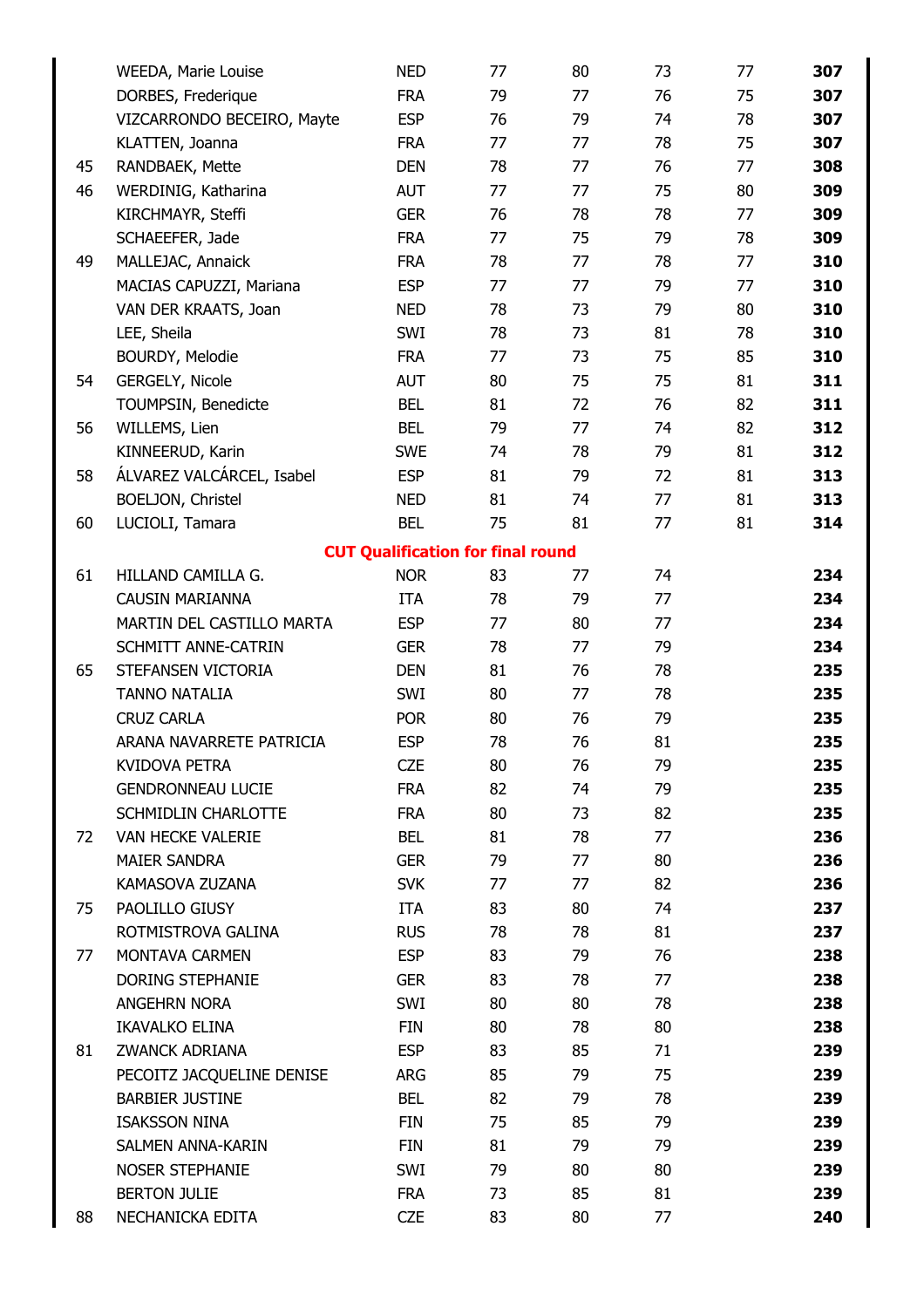|    | WEEDA, Marie Louise        | <b>NED</b>                               | 77 | 80 | 73 | 77 | 307 |
|----|----------------------------|------------------------------------------|----|----|----|----|-----|
|    | DORBES, Frederique         | <b>FRA</b>                               | 79 | 77 | 76 | 75 | 307 |
|    | VIZCARRONDO BECEIRO, Mayte | <b>ESP</b>                               | 76 | 79 | 74 | 78 | 307 |
|    | KLATTEN, Joanna            | <b>FRA</b>                               | 77 | 77 | 78 | 75 | 307 |
| 45 | RANDBAEK, Mette            | <b>DEN</b>                               | 78 | 77 | 76 | 77 | 308 |
| 46 | WERDINIG, Katharina        | <b>AUT</b>                               | 77 | 77 | 75 | 80 | 309 |
|    | KIRCHMAYR, Steffi          | <b>GER</b>                               | 76 | 78 | 78 | 77 | 309 |
|    | SCHAEEFER, Jade            | <b>FRA</b>                               | 77 | 75 | 79 | 78 | 309 |
| 49 | MALLEJAC, Annaick          | <b>FRA</b>                               | 78 | 77 | 78 | 77 | 310 |
|    | MACIAS CAPUZZI, Mariana    | <b>ESP</b>                               | 77 | 77 | 79 | 77 | 310 |
|    | VAN DER KRAATS, Joan       | <b>NED</b>                               | 78 | 73 | 79 | 80 | 310 |
|    | LEE, Sheila                | SWI                                      | 78 | 73 | 81 | 78 | 310 |
|    | BOURDY, Melodie            | <b>FRA</b>                               | 77 | 73 | 75 | 85 | 310 |
| 54 | GERGELY, Nicole            | <b>AUT</b>                               | 80 | 75 | 75 | 81 | 311 |
|    | TOUMPSIN, Benedicte        | <b>BEL</b>                               | 81 | 72 | 76 | 82 | 311 |
| 56 | WILLEMS, Lien              | <b>BEL</b>                               | 79 | 77 | 74 | 82 | 312 |
|    | KINNEERUD, Karin           | <b>SWE</b>                               | 74 | 78 | 79 | 81 | 312 |
| 58 | ÁLVAREZ VALCÁRCEL, Isabel  | <b>ESP</b>                               | 81 | 79 | 72 | 81 | 313 |
|    | BOELJON, Christel          | <b>NED</b>                               | 81 | 74 | 77 | 81 | 313 |
| 60 | LUCIOLI, Tamara            | <b>BEL</b>                               | 75 | 81 | 77 | 81 | 314 |
|    |                            | <b>CUT Qualification for final round</b> |    |    |    |    |     |
| 61 | HILLAND CAMILLA G.         | <b>NOR</b>                               | 83 | 77 | 74 |    | 234 |
|    | <b>CAUSIN MARIANNA</b>     | <b>ITA</b>                               | 78 | 79 | 77 |    | 234 |
|    | MARTIN DEL CASTILLO MARTA  | <b>ESP</b>                               | 77 | 80 | 77 |    | 234 |
|    | SCHMITT ANNE-CATRIN        | <b>GER</b>                               | 78 | 77 | 79 |    | 234 |
| 65 | STEFANSEN VICTORIA         | <b>DEN</b>                               | 81 | 76 | 78 |    | 235 |
|    | <b>TANNO NATALIA</b>       | SWI                                      | 80 | 77 | 78 |    | 235 |
|    | <b>CRUZ CARLA</b>          | <b>POR</b>                               | 80 | 76 | 79 |    | 235 |
|    | ARANA NAVARRETE PATRICIA   | <b>ESP</b>                               | 78 | 76 | 81 |    | 235 |
|    | <b>KVIDOVA PETRA</b>       | <b>CZE</b>                               | 80 | 76 | 79 |    | 235 |
|    | <b>GENDRONNEAU LUCIE</b>   | <b>FRA</b>                               | 82 | 74 | 79 |    | 235 |
|    | <b>SCHMIDLIN CHARLOTTE</b> | <b>FRA</b>                               | 80 | 73 | 82 |    | 235 |
| 72 | <b>VAN HECKE VALERIE</b>   | BEL                                      | 81 | 78 | 77 |    | 236 |
|    | <b>MAIER SANDRA</b>        | <b>GER</b>                               | 79 | 77 | 80 |    | 236 |
|    | KAMASOVA ZUZANA            | <b>SVK</b>                               | 77 | 77 | 82 |    | 236 |
| 75 | PAOLILLO GIUSY             | ITA                                      | 83 | 80 | 74 |    | 237 |
|    | ROTMISTROVA GALINA         | <b>RUS</b>                               | 78 | 78 | 81 |    | 237 |
| 77 | MONTAVA CARMEN             | <b>ESP</b>                               | 83 | 79 | 76 |    | 238 |
|    | DORING STEPHANIE           | <b>GER</b>                               | 83 | 78 | 77 |    | 238 |
|    | ANGEHRN NORA               | SWI                                      | 80 | 80 | 78 |    | 238 |
|    | <b>IKAVALKO ELINA</b>      | <b>FIN</b>                               | 80 | 78 | 80 |    | 238 |
| 81 | <b>ZWANCK ADRIANA</b>      | <b>ESP</b>                               | 83 | 85 | 71 |    | 239 |
|    | PECOITZ JACQUELINE DENISE  | ARG                                      | 85 | 79 | 75 |    | 239 |
|    | <b>BARBIER JUSTINE</b>     | <b>BEL</b>                               | 82 | 79 | 78 |    | 239 |
|    | <b>ISAKSSON NINA</b>       | <b>FIN</b>                               | 75 | 85 | 79 |    | 239 |
|    | SALMEN ANNA-KARIN          | <b>FIN</b>                               | 81 | 79 | 79 |    | 239 |
|    | <b>NOSER STEPHANIE</b>     | SWI                                      | 79 | 80 | 80 |    | 239 |
|    | <b>BERTON JULIE</b>        | <b>FRA</b>                               | 73 | 85 | 81 |    | 239 |
| 88 | NECHANICKA EDITA           | <b>CZE</b>                               | 83 | 80 | 77 |    | 240 |